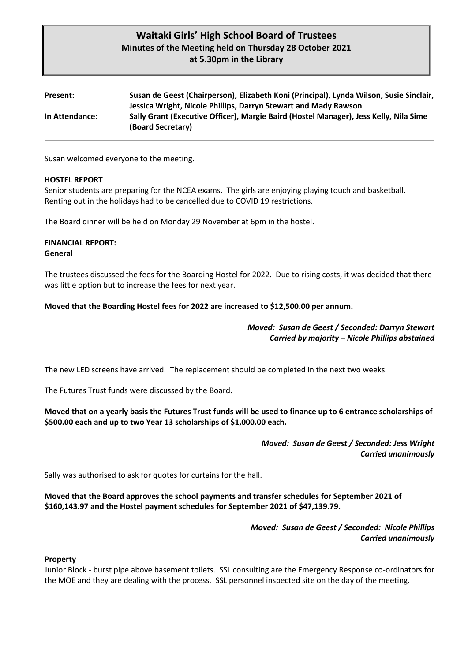# **Waitaki Girls' High School Board of Trustees Minutes of the Meeting held on Thursday 28 October 2021 at 5.30pm in the Library**

| Present:       | Susan de Geest (Chairperson), Elizabeth Koni (Principal), Lynda Wilson, Susie Sinclair,<br>Jessica Wright, Nicole Phillips, Darryn Stewart and Mady Rawson |
|----------------|------------------------------------------------------------------------------------------------------------------------------------------------------------|
| In Attendance: | Sally Grant (Executive Officer), Margie Baird (Hostel Manager), Jess Kelly, Nila Sime<br>(Board Secretary)                                                 |

Susan welcomed everyone to the meeting.

#### **HOSTEL REPORT**

Senior students are preparing for the NCEA exams. The girls are enjoying playing touch and basketball. Renting out in the holidays had to be cancelled due to COVID 19 restrictions.

The Board dinner will be held on Monday 29 November at 6pm in the hostel.

# **FINANCIAL REPORT:**

# **General**

The trustees discussed the fees for the Boarding Hostel for 2022. Due to rising costs, it was decided that there was little option but to increase the fees for next year.

### **Moved that the Boarding Hostel fees for 2022 are increased to \$12,500.00 per annum.**

### *Moved: Susan de Geest / Seconded: Darryn Stewart Carried by majority – Nicole Phillips abstained*

The new LED screens have arrived. The replacement should be completed in the next two weeks.

The Futures Trust funds were discussed by the Board.

**Moved that on a yearly basis the Futures Trust funds will be used to finance up to 6 entrance scholarships of \$500.00 each and up to two Year 13 scholarships of \$1,000.00 each.**

> *Moved: Susan de Geest / Seconded: Jess Wright Carried unanimously*

Sally was authorised to ask for quotes for curtains for the hall.

**Moved that the Board approves the school payments and transfer schedules for September 2021 of \$160,143.97 and the Hostel payment schedules for September 2021 of \$47,139.79.** 

### *Moved: Susan de Geest / Seconded: Nicole Phillips Carried unanimously*

#### **Property**

Junior Block - burst pipe above basement toilets. SSL consulting are the Emergency Response co-ordinators for the MOE and they are dealing with the process. SSL personnel inspected site on the day of the meeting.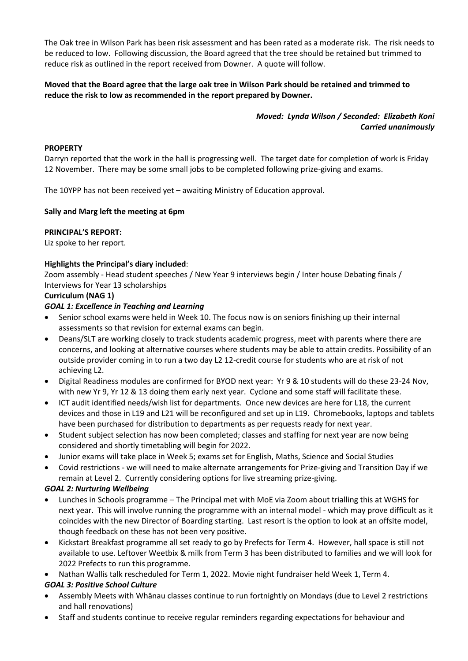The Oak tree in Wilson Park has been risk assessment and has been rated as a moderate risk. The risk needs to be reduced to low. Following discussion, the Board agreed that the tree should be retained but trimmed to reduce risk as outlined in the report received from Downer. A quote will follow.

# **Moved that the Board agree that the large oak tree in Wilson Park should be retained and trimmed to reduce the risk to low as recommended in the report prepared by Downer.**

# *Moved: Lynda Wilson / Seconded: Elizabeth Koni Carried unanimously*

### **PROPERTY**

Darryn reported that the work in the hall is progressing well. The target date for completion of work is Friday 12 November. There may be some small jobs to be completed following prize-giving and exams.

The 10YPP has not been received yet – awaiting Ministry of Education approval.

### **Sally and Marg left the meeting at 6pm**

### **PRINCIPAL'S REPORT:**

Liz spoke to her report.

### **Highlights the Principal's diary included**:

Zoom assembly - Head student speeches / New Year 9 interviews begin / Inter house Debating finals / Interviews for Year 13 scholarships

### **Curriculum (NAG 1)**

### *GOAL 1: Excellence in Teaching and Learning*

- Senior school exams were held in Week 10. The focus now is on seniors finishing up their internal assessments so that revision for external exams can begin.
- Deans/SLT are working closely to track students academic progress, meet with parents where there are concerns, and looking at alternative courses where students may be able to attain credits. Possibility of an outside provider coming in to run a two day L2 12-credit course for students who are at risk of not achieving L2.
- Digital Readiness modules are confirmed for BYOD next year: Yr 9 & 10 students will do these 23-24 Nov, with new Yr 9, Yr 12 & 13 doing them early next year. Cyclone and some staff will facilitate these.
- ICT audit identified needs/wish list for departments. Once new devices are here for L18, the current devices and those in L19 and L21 will be reconfigured and set up in L19. Chromebooks, laptops and tablets have been purchased for distribution to departments as per requests ready for next year.
- Student subject selection has now been completed; classes and staffing for next year are now being considered and shortly timetabling will begin for 2022.
- Junior exams will take place in Week 5; exams set for English, Maths, Science and Social Studies
- Covid restrictions we will need to make alternate arrangements for Prize-giving and Transition Day if we remain at Level 2. Currently considering options for live streaming prize-giving.

# *GOAL 2: Nurturing Wellbeing*

- Lunches in Schools programme The Principal met with MoE via Zoom about trialling this at WGHS for next year. This will involve running the programme with an internal model - which may prove difficult as it coincides with the new Director of Boarding starting. Last resort is the option to look at an offsite model, though feedback on these has not been very positive.
- Kickstart Breakfast programme all set ready to go by Prefects for Term 4. However, hall space is still not available to use. Leftover Weetbix & milk from Term 3 has been distributed to families and we will look for 2022 Prefects to run this programme.
- Nathan Wallis talk rescheduled for Term 1, 2022. Movie night fundraiser held Week 1, Term 4.

# *GOAL 3: Positive School Culture*

- Assembly Meets with Whānau classes continue to run fortnightly on Mondays (due to Level 2 restrictions and hall renovations)
- Staff and students continue to receive regular reminders regarding expectations for behaviour and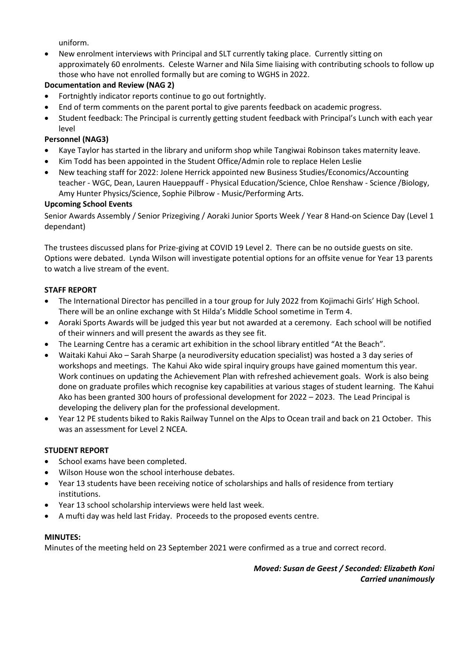uniform.

• New enrolment interviews with Principal and SLT currently taking place. Currently sitting on approximately 60 enrolments. Celeste Warner and Nila Sime liaising with contributing schools to follow up those who have not enrolled formally but are coming to WGHS in 2022.

# **Documentation and Review (NAG 2)**

- Fortnightly indicator reports continue to go out fortnightly.
- End of term comments on the parent portal to give parents feedback on academic progress.
- Student feedback: The Principal is currently getting student feedback with Principal's Lunch with each year level

# **Personnel (NAG3)**

- Kaye Taylor has started in the library and uniform shop while Tangiwai Robinson takes maternity leave.
- Kim Todd has been appointed in the Student Office/Admin role to replace Helen Leslie
- New teaching staff for 2022: Jolene Herrick appointed new Business Studies/Economics/Accounting teacher - WGC, Dean, Lauren Haueppauff - Physical Education/Science, Chloe Renshaw - Science /Biology, Amy Hunter Physics/Science, Sophie Pilbrow - Music/Performing Arts.

# **Upcoming School Events**

Senior Awards Assembly / Senior Prizegiving / Aoraki Junior Sports Week / Year 8 Hand-on Science Day (Level 1 dependant)

The trustees discussed plans for Prize-giving at COVID 19 Level 2. There can be no outside guests on site. Options were debated. Lynda Wilson will investigate potential options for an offsite venue for Year 13 parents to watch a live stream of the event.

# **STAFF REPORT**

- The International Director has pencilled in a tour group for July 2022 from Kojimachi Girls' High School. There will be an online exchange with St Hilda's Middle School sometime in Term 4.
- Aoraki Sports Awards will be judged this year but not awarded at a ceremony. Each school will be notified of their winners and will present the awards as they see fit.
- The Learning Centre has a ceramic art exhibition in the school library entitled "At the Beach".
- Waitaki Kahui Ako Sarah Sharpe (a neurodiversity education specialist) was hosted a 3 day series of workshops and meetings. The Kahui Ako wide spiral inquiry groups have gained momentum this year. Work continues on updating the Achievement Plan with refreshed achievement goals. Work is also being done on graduate profiles which recognise key capabilities at various stages of student learning. The Kahui Ako has been granted 300 hours of professional development for 2022 – 2023. The Lead Principal is developing the delivery plan for the professional development.
- Year 12 PE students biked to Rakis Railway Tunnel on the Alps to Ocean trail and back on 21 October. This was an assessment for Level 2 NCEA.

# **STUDENT REPORT**

- School exams have been completed.
- Wilson House won the school interhouse debates.
- Year 13 students have been receiving notice of scholarships and halls of residence from tertiary institutions.
- Year 13 school scholarship interviews were held last week.
- A mufti day was held last Friday. Proceeds to the proposed events centre.

# **MINUTES:**

Minutes of the meeting held on 23 September 2021 were confirmed as a true and correct record.

*Moved: Susan de Geest / Seconded: Elizabeth Koni Carried unanimously*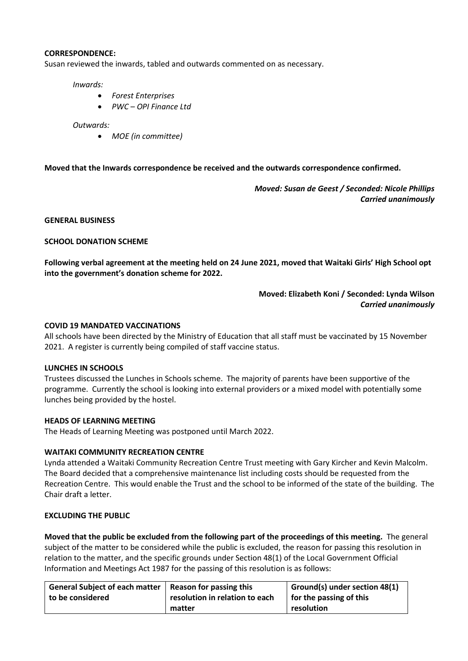#### **CORRESPONDENCE:**

Susan reviewed the inwards, tabled and outwards commented on as necessary.

#### *Inwards:*

- *Forest Enterprises*
- *PWC – OPI Finance Ltd*

#### *Outwards:*

• *MOE (in committee)*

**Moved that the Inwards correspondence be received and the outwards correspondence confirmed.**

*Moved: Susan de Geest / Seconded: Nicole Phillips Carried unanimously*

#### **GENERAL BUSINESS**

### **SCHOOL DONATION SCHEME**

**Following verbal agreement at the meeting held on 24 June 2021, moved that Waitaki Girls' High School opt into the government's donation scheme for 2022.** 

# **Moved: Elizabeth Koni / Seconded: Lynda Wilson** *Carried unanimously*

#### **COVID 19 MANDATED VACCINATIONS**

All schools have been directed by the Ministry of Education that all staff must be vaccinated by 15 November 2021. A register is currently being compiled of staff vaccine status.

### **LUNCHES IN SCHOOLS**

Trustees discussed the Lunches in Schools scheme. The majority of parents have been supportive of the programme. Currently the school is looking into external providers or a mixed model with potentially some lunches being provided by the hostel.

### **HEADS OF LEARNING MEETING**

The Heads of Learning Meeting was postponed until March 2022.

### **WAITAKI COMMUNITY RECREATION CENTRE**

Lynda attended a Waitaki Community Recreation Centre Trust meeting with Gary Kircher and Kevin Malcolm. The Board decided that a comprehensive maintenance list including costs should be requested from the Recreation Centre. This would enable the Trust and the school to be informed of the state of the building. The Chair draft a letter.

### **EXCLUDING THE PUBLIC**

**Moved that the public be excluded from the following part of the proceedings of this meeting.** The general subject of the matter to be considered while the public is excluded, the reason for passing this resolution in relation to the matter, and the specific grounds under Section 48(1) of the Local Government Official Information and Meetings Act 1987 for the passing of this resolution is as follows:

| <b>General Subject of each matter</b> | Reason for passing this        | Ground(s) under section 48(1) |
|---------------------------------------|--------------------------------|-------------------------------|
| to be considered                      | resolution in relation to each | for the passing of this       |
|                                       | matter                         | resolution                    |